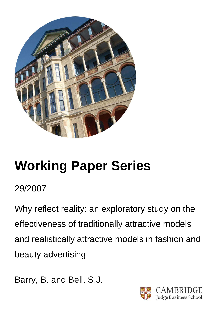

# **Working Paper Series**

29/2007

Why reflect reality: an exploratory study on the effectiveness of traditionally attractive models and realistically attractive models in fashion and beauty advertising

Barry, B. and Bell, S.J.

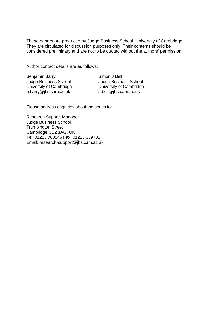These papers are produced by Judge Business School, University of Cambridge. They are circulated for discussion purposes only. Their contents should be considered preliminary and are not to be quoted without the authors' permission.

Author contact details are as follows:

Benjamin Barry Judge Business School University of Cambridge b.barry@jbs.cam.ac.uk

Simon J Bell Judge Business School University of Cambridge s.bell@jbs.cam.ac.uk

Please address enquiries about the series to:

Research Support Manager Judge Business School Trumpington Street Cambridge CB2 1AG, UK Tel: 01223 760546 Fax: 01223 339701 Email: research-support@jbs.cam.ac.uk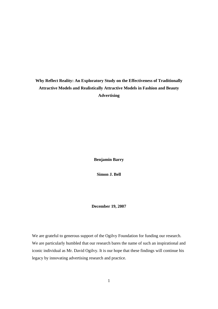**Why Reflect Reality: An Exploratory Study on the Effectiveness of Traditionally Attractive Models and Realistically Attractive Models in Fashion and Beauty Advertising** 

**Benjamin Barry** 

**Simon J. Bell** 

**December 19, 2007** 

We are grateful to generous support of the Ogilvy Foundation for funding our research. We are particularly humbled that our research bares the name of such an inspirational and iconic individual as Mr. David Ogilvy. It is our hope that these findings will continue his legacy by innovating advertising research and practice.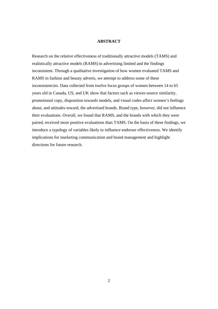## **ABSTRACT**

Research on the relative effectiveness of traditionally attractive models (TAMS) and realistically attractive models (RAMS) in advertising limited and the findings inconsistent. Through a qualitative investigation of how women evaluated TAMS and RAMS in fashion and beauty adverts, we attempt to address some of these inconsistencies. Data collected from twelve focus groups of women between 14 to 65 years old in Canada, US, and UK show that factors such as viewer-source similarity, promotional copy, disposition towards models, and visual codes affect women's feelings about, and attitudes toward, the advertised brands. Brand type, however, did not influence their evaluations. Overall, we found that RAMS, and the brands with which they were paired, received more positive evaluations than TAMS. On the basis of these findings, we introduce a typology of variables likely to influence endorser effectiveness. We identify implications for marketing communication and brand management and highlight directions for future research.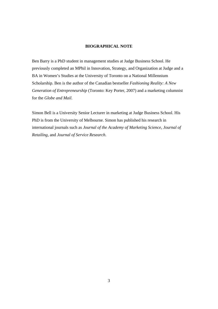# **BIOGRAPHICAL NOTE**

Ben Barry is a PhD student in management studies at Judge Business School. He previously completed an MPhil in Innovation, Strategy, and Organization at Judge and a BA in Women's Studies at the University of Toronto on a National Millennium Scholarship. Ben is the author of the Canadian bestseller *Fashioning Reality: A New Generation of Entrepreneurship* (Toronto: Key Porter, 2007) and a marketing columnist for the *Globe and Mail*.

Simon Bell is a University Senior Lecturer in marketing at Judge Business School. His PhD is from the University of Melbourne. Simon has published his research in international journals such as *Journal of the Academy of Marketing Science*, *Journal of Retailing*, and *Journal of Service Research*.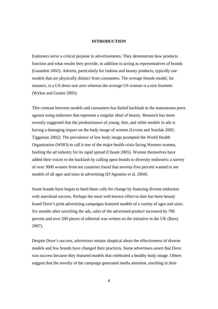#### **INTRODUCTION**

Endorsers serve a critical purpose in advertisements. They demonstrate how products function and what results they provide, in addition to acting as representatives of brands (Gauntlett 2002). Adverts, particularly for fashion and beauty products, typically use models that are physically distinct from consumers. The average female model, for instance, is a US dress size zero whereas the average US woman is a size fourteen (Wykes and Gunter 2005).

This contrast between models and consumers has fueled backlash in the mainstream press against using endorsers that represent a singular ideal of beauty. Research has more recently suggested that the predominance of young, thin, and white models in ads is having a damaging impact on the body image of women (Levine and Smolak 2002; Tiggeman 2002). The prevalence of low body image prompted the World Health Organization (WHO) to call it one of the major health crisis facing Western women, faulting the ad industry for its rapid spread (Choate 2005). Women themselves have added their voices to the backlash by calling upon brands to diversity endorsers; a survey of over 3000 women from ten countries found that seventy-five percent wanted to see models of all ages and sizes in advertising (D'Agostino et al. 2004).

Some brands have begun to heed these calls for change by featuring diverse endorsers with anecdotal success. Perhaps the most well-known effort to date has been beauty brand Dove's print advertising campaigns featured models of a variety of ages and sizes. Six months after unveiling the ads, sales of the advertised product increased by 700 percent and over 200 pieces of editorial was written on the initiative in the UK (Barry 2007).

Despite Dove's success, advertisers remain skeptical about the effectiveness of diverse models and few brands have changed their practices. Some advertisers assert that Dove was success because they featured models that celebrated a healthy body image. Others suggest that the novelty of the campaign generated media attention, resulting in their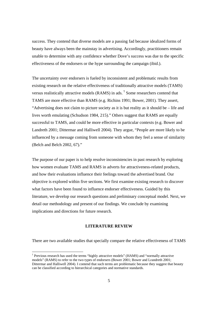success. They contend that diverse models are a passing fad because idealized forms of beauty have always been the mainstay in advertising. Accordingly, practitioners remain unable to determine with any confidence whether Dove's success was due to the specific effectiveness of the endorsers or the hype surrounding the campaign (ibid.).

The uncertainty over endorsers is fueled by inconsistent and problematic results from existing research on the relative effectiveness of traditionally attractive models (TAMS) versus realistically attractive models (RAMS) in ads.<sup>1</sup> Some researchers contend that TAMS are more effective than RAMS (e.g. Richins 1991; Bower, 2001). They assert, "Advertising does not claim to picture society as it is but reality as it should be – life and lives worth emulating (Schudson 1984, 215)." Others suggest that RAMS are equally successful to TAMS, and could be more effective in particular contexts (e.g. Bower and Landreth 2001; Dittermar and Halliwell 2004). They argue, "People are more likely to be influenced by a message coming from someone with whom they feel a sense of similarity (Belch and Belch 2002, 67)."

The purpose of our paper is to help resolve inconsistencies in past research by exploring how women evaluate TAMS and RAMS in adverts for attractiveness-related products, and how their evaluations influence their feelings toward the advertised brand. Our objective is explored within five sections. We first examine existing research to discover what factors have been found to influence endorser effectiveness. Guided by this literature, we develop our research questions and preliminary conceptual model. Next, we detail our methodology and present of our findings. We conclude by examining implications and directions for future research.

# **LITERATURE REVIEW**

There are two available studies that specially compare the relative effectiveness of TAMS

l

<sup>&</sup>lt;sup>1</sup> Previous research has used the terms "highly attractive models" (HAMS) and "normally attractive models" (RAMS) to refer to the two types of endorsers (Bower 2001; Bower and Lrandreth 2001; Dittermar and Halliwell 2004). I contend that such terms are problematic because they suggest that beauty can be classified according to hierarchical categories and normative standards.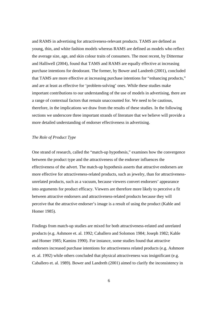and RAMS in advertising for attractiveness-relevant products. TAMS are defined as young, thin, and white fashion models whereas RAMS are defined as models who reflect the average size, age, and skin colour traits of consumers. The most recent, by Dittermar and Halliwell (2004), found that TAMS and RAMS are equally effective at increasing purchase intentions for deodorant. The former, by Bower and Landreth (2001), concluded that TAMS are more effective at increasing purchase intentions for "enhancing products," and are at least as effective for 'problem-solving' ones. While these studies make important contributions to our understanding of the use of models in advertising, there are a range of contextual factors that remain unaccounted for. We need to be cautious, therefore, in the implications we draw from the results of these studies. In the following sections we underscore three important strands of literature that we believe will provide a more detailed understanding of endorser effectiveness in advertising.

# *The Role of Product Type*

One strand of research, called the "match-up hypothesis," examines how the convergence between the product type and the attractiveness of the endorser influences the effectiveness of the advert. The match-up hypothesis asserts that attractive endorsers are more effective for attractiveness-related products, such as jewelry, than for attractivenessunrelated products, such as a vacuum, because viewers convert endorsers' appearance into arguments for product efficacy. Viewers are therefore more likely to perceive a fit between attractive endorsers and attractiveness-related products because they will perceive that the attractive endorser's image is a result of using the product (Kahle and Homer 1985).

Findings from match-up studies are mixed for both attractiveness-related and unrelated products (e.g. Ashmore et. al. 1992; Caballero and Solomon 1984; Joseph 1982; Kahle and Homer 1985; Kamins 1990). For instance, some studies found that attractive endorsers increased purchase intentions for attractiveness related products (e.g. Ashmore et. al. 1992) while others concluded that physical attractiveness was insignificant (e.g. Caballero et. al. 1989). Bower and Landreth (2001) aimed to clarify the inconsistency in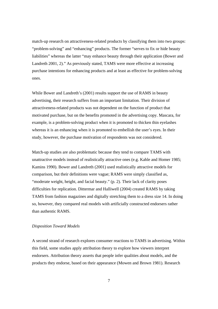match-up research on attractiveness-related products by classifying them into two groups: "problem-solving" and "enhancing" products. The former "serves to fix or hide beauty liabilities" whereas the latter "may enhance beauty through their application (Bower and Landreth 2001, 2)." As previously stated, TAMS were more effective at increasing purchase intentions for enhancing products and at least as effective for problem-solving ones.

While Bower and Landreth's (2001) results support the use of RAMS in beauty advertising, their research suffers from an important limitation. Their division of attractiveness-related products was not dependent on the function of product that motivated purchase, but on the benefits promoted in the advertising copy. Mascara, for example, is a problem-solving product when it is promoted to thicken thin eyelashes whereas it is an enhancing when it is promoted to embellish the user's eyes. In their study, however, the purchase motivation of respondents was not considered.

Match-up studies are also problematic because they tend to compare TAMS with unattractive models instead of realistically attractive ones (e.g. Kahle and Homer 1985; Kamins 1990). Bower and Landreth (2001) used realistically attractive models for comparison, but their definitions were vague; RAMS were simply classified as, "moderate weight, height, and facial beauty." (p. 2). Their lack of clarity poses difficulties for replication. Dittermar and Halliwell (2004) created RAMS by taking TAMS from fashion magazines and digitally stretching them to a dress size 14. In doing so, however, they compared real models with artificially constructed endorsers rather than authentic RAMS.

## *Disposition Toward Models*

A second strand of research explores consumer reactions to TAMS in advertising. Within this field, some studies apply attribution theory to explore how viewers interpret endorsers. Attribution theory asserts that people infer qualities about models, and the products they endorse, based on their appearance (Mowen and Brown 1981). Research

7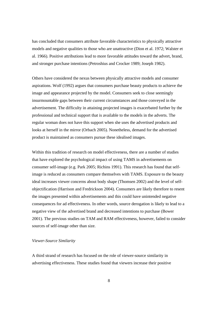has concluded that consumers attribute favorable characteristics to physically attractive models and negative qualities to those who are unattractive (Dion et al. 1972; Walster et al. 1966). Positive attributions lead to more favorable attitudes toward the advert, brand, and stronger purchase intentions (Petroshius and Crocker 1989; Joseph 1982).

Others have considered the nexus between physically attractive models and consumer aspirations. Wolf (1992) argues that consumers purchase beauty products to achieve the image and appearance projected by the model. Consumers seek to close seemingly insurmountable gaps between their current circumstances and those conveyed in the advertisement. The difficulty in attaining projected images is exacerbated further by the professional and technical support that is available to the models in the adverts. The regular woman does not have this support when she uses the advertised products and looks at herself in the mirror (Orbach 2005). Nonetheless, demand for the advertised product is maintained as consumers pursue these idealised images.

Within this tradition of research on model effectiveness, there are a number of studies that have explored the psychological impact of using TAMS in advertisements on consumer self-image (e.g. Park 2005; Richins 1991). This research has found that selfimage is reduced as consumers compare themselves with TAMS. Exposure to the beauty ideal increases viewer concerns about body shape (Thomsen 2002) and the level of selfobjectification (Harrison and Fredrickson 2004). Consumers are likely therefore to resent the images presented within advertisements and this could have unintended negative consequences for ad effectiveness. In other words, source derogation is likely to lead to a negative view of the advertised brand and decreased intentions to purchase (Bower 2001). The previous studies on TAM and RAM effectiveness, however, failed to consider sources of self-image other than size.

## *Viewer-Source Similarity*

A third strand of research has focused on the role of viewer-source similarity in advertising effectiveness. These studies found that viewers increase their positive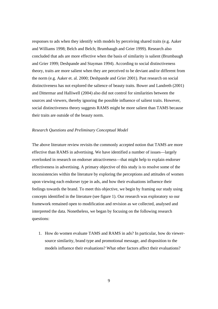responses to ads when they identify with models by perceiving shared traits (e.g. Aaker and Williams 1998; Belch and Belch; Brumbaugh and Grier 1999). Research also concluded that ads are more effective when the basis of similarity is salient (Brumbaugh and Grier 1999; Deshpande and Stayman 1994). According to social distinctiveness theory, traits are more salient when they are perceived to be deviant and/or different from the norm (e.g. Aaker et. al. 2000; Deshpande and Grier 2001). Past research on social distinctiveness has not explored the salience of beauty traits. Bower and Landreth (2001) and Dittermar and Halliwell (2004) also did not control for similarities between the sources and viewers, thereby ignoring the possible influence of salient traits. However, social distinctiveness theory suggests RAMS might be more salient than TAMS because their traits are outside of the beauty norm.

# *Research Questions and Preliminary Conceptual Model*

The above literature review revisits the commonly accepted notion that TAMS are more effective than RAMS in advertising. We have identified a number of issues—largely overlooked in research on endorser attractiveness—that might help to explain endorser effectiveness in advertising. A primary objective of this study is to resolve some of the inconsistencies within the literature by exploring the perceptions and attitudes of women upon viewing each endorser type in ads, and how their evaluations influence their feelings towards the brand. To meet this objective, we begin by framing our study using concepts identified in the literature (see figure 1). Our research was exploratory so our framework remained open to modification and revision as we collected, analysed and interpreted the data. Nonetheless, we began by focusing on the following research questions:

1. How do women evaluate TAMS and RAMS in ads? In particular, how do viewersource similarity, brand type and promotional message, and disposition to the models influence their evaluations? What other factors affect their evaluations?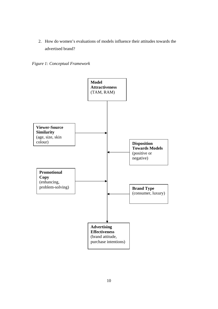2. How do women's evaluations of models influence their attitudes towards the advertised brand?

*Figure 1: Conceptual Framework* 

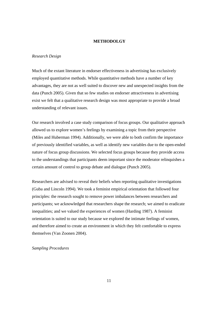## **METHODOLGY**

# *Research Design*

Much of the extant literature in endorser effectiveness in advertising has exclusively employed quantitative methods. While quantitative methods have a number of key advantages, they are not as well suited to discover new and unexpected insights from the data (Punch 2005). Given that so few studies on endorser attractiveness in advertising exist we felt that a qualitative research design was most appropriate to provide a broad understanding of relevant issues.

Our research involved a case study comparison of focus groups. Our qualitative approach allowed us to explore women's feelings by examining a topic from their perspective (Miles and Huberman 1994). Additionally, we were able to both confirm the importance of previously identified variables, as well as identify new variables due to the open-ended nature of focus group discussions. We selected focus groups because they provide access to the understandings that participants deem important since the moderator relinquishes a certain amount of control to group debate and dialogue (Punch 2005).

Researchers are advised to reveal their beliefs when reporting qualitative investigations (Guba and Lincoln 1994). We took a feminist empirical orientation that followed four principles: the research sought to remove power imbalances between researchers and participants; we acknowledged that researchers shape the research; we aimed to eradicate inequalities; and we valued the experiences of women (Harding 1987). A feminist orientation is suited to our study because we explored the intimate feelings of women, and therefore aimed to create an environment in which they felt comfortable to express themselves (Van Zoonen 2004).

## *Sampling Procedures*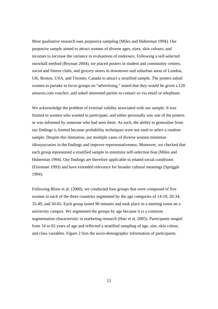Most qualitative research uses purposive sampling (Miles and Huberman 1994). Our purposive sample aimed to attract women of diverse ages, sizes, skin colours, and incomes to increase the variance in evaluations of endorsers. Following a self-selected snowball method (Bryman 2004), we placed posters in student and community centres, social and fitness clubs, and grocery stores in downtown and suburban areas of London, UK, Boston, USA, and Toronto, Canada to attract a stratified sample. The posters asked women to partake in focus groups on "advertising," stated that they would be given a £20 amazon.com voucher, and asked interested parties to contact us via email or telephone.

We acknowledge the problem of external validity associated with our sample. It was limited to women who wanted to participate, and either personally saw one of the posters or was informed by someone who had seen them. As such, the ability to generalize from our findings is limited because probability techniques were not used to select a random sample. Despite this limitation, our multiple cases of diverse women minimize idiosyncrasies in the findings and improve representativeness. Moreover, we checked that each group represented a stratified sample to minimize self-selection bias (Miles and Huberman 1994). Our findings are therefore applicable to related social conditions (Firestone 1993) and have extended relevance for broader cultural meanings (Spriggle 1994).

Following Bloor et al. (2000), we conducted four groups that were composed of five women in each of the three countries segmented by the age categories of 14-19, 20-34, 35-49, and 50-65. Each group lasted 90 minutes and took place in a meeting room on a university campus. We segmented the groups by age because it is a common segmentation characteristic in marketing research (Hair et al. 2005). Participants ranged from 14 to 65 years of age and reflected a stratified sampling of age, size, skin colour, and class variables. Figure 2 lists the socio-demographic information of participants.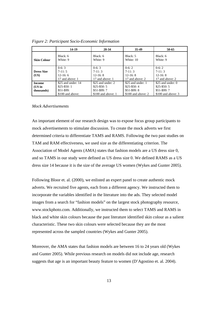|                                | 14-19                                                                   | 20-34                                                                                  | 35-49                                                                    | 50-65                                                                      |
|--------------------------------|-------------------------------------------------------------------------|----------------------------------------------------------------------------------------|--------------------------------------------------------------------------|----------------------------------------------------------------------------|
| <b>Skin Colour</b>             | Black: 6<br>White: 9                                                    | Black: 6<br>White: 9                                                                   | Black: 5<br>White: 10                                                    | Black: 6<br>White: 9                                                       |
| <b>Dress Size</b><br>(US)      | $0-6:3$<br>$7-11:5$<br>$12-16:6$<br>17 and above: 1                     | $0-6:3$<br>$7-11:3$<br>$12-16:8$<br>17 and above: 1                                    | $0-6:2$<br>$7-11:3$<br>$12-16:8$<br>17 and above: 2                      | $0-6:2$<br>$7-11:3$<br>$12-16:8$<br>17 and above: 2                        |
| Income<br>(US in<br>thousands) | \$25 and under: $14$<br>$$25 - $50:1$<br>$$51-$99:$<br>\$100 and above: | \$25 and under: $2 \overline{ }$<br>$$25 - $50:5$<br>$$51-$99:7$<br>\$100 and above: 1 | \$25 and under: 1<br>$$25 - $50:4$<br>$$51-$99:8$<br>$$100$ and above: 2 | \$25 and under: $0$<br>$$25 - $50:5$<br>$$51-$99:7$<br>$$100$ and above: 3 |

*Figure 2: Participant Socio-Economic Information* 

## *Mock Advertisements*

An important element of our research design was to expose focus group participants to mock advertisements to stimulate discussion. To create the mock adverts we first determined criteria to differentiate TAMS and RAMS. Following the two past studies on TAM and RAM effectiveness, we used size as the differentiating criterion. The Association of Model Agents (AMA) states that fashion models are a US dress size 0, and so TAMS in our study were defined as US dress size 0. We defined RAMS as a US dress size 14 because it is the size of the average US women (Wykes and Gunter 2005).

Following Bloor et. al. (2000), we enlisted an expert panel to create authentic mock adverts. We recruited five agents, each from a different agency. We instructed them to incorporate the variables identified in the literature into the ads. They selected model images from a search for "fashion models" on the largest stock photography resource, www.stockphoto.com. Additionally, we instructed them to select TAMS and RAMS in black and white skin colours because the past literature identified skin colour as a salient characteristic. These two skin colours were selected because they are the most represented across the sampled countries (Wykes and Gunter 2005).

Moreover, the AMA states that fashion models are between 16 to 24 years old (Wykes and Gunter 2005). While previous research on models did not include age, research suggests that age is an important beauty feature to women (D'Agostino et. al. 2004).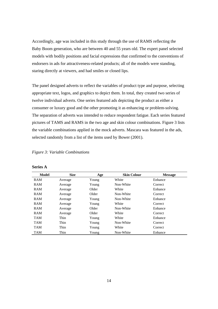Accordingly, age was included in this study through the use of RAMS reflecting the Baby Boom generation, who are between 40 and 55 years old. The expert panel selected models with bodily positions and facial expressions that confirmed to the conventions of endorsers in ads for attractiveness-related products; all of the models were standing, staring directly at viewers, and had smiles or closed lips.

The panel designed adverts to reflect the variables of product type and purpose, selecting appropriate text, logos, and graphics to depict them. In total, they created two series of twelve individual adverts. One series featured ads depicting the product as either a consumer or luxury good and the other promoting it as enhancing or problem-solving. The separation of adverts was intended to reduce respondent fatigue. Each series featured pictures of TAMS and RAMS in the two age and skin colour combinations. Figure 3 lists the variable combinations applied in the mock adverts. Mascara was featured in the ads, selected randomly from a list of the items used by Bower (2001).

| <b>Model</b> | <b>Size</b> | Age   | <b>Skin Colour</b> | <b>Message</b> |
|--------------|-------------|-------|--------------------|----------------|
| RAM          | Average     | Young | White              | Enhance        |
| RAM          | Average     | Young | Non-White          | Correct        |
| RAM          | Average     | Older | White              | Enhance        |
| RAM          | Average     | Older | Non-White          | Correct        |
| RAM          | Average     | Young | Non-White          | Enhance        |
| RAM          | Average     | Young | White              | Correct        |
| RAM          | Average     | Older | Non-White          | Enhance        |
| RAM          | Average     | Older | White              | Correct        |
| <b>TAM</b>   | Thin        | Young | White              | Enhance        |
| <b>TAM</b>   | Thin        | Young | Non-White          | Correct        |
| <b>TAM</b>   | Thin        | Young | White              | Correct        |
| <b>TAM</b>   | Thin        | Young | Non-White          | Enhance        |

*Figure 3: Variable Combinations* 

**Series A**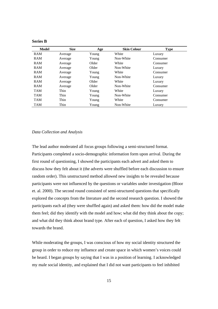| Model      | <b>Size</b> | Age   | <b>Skin Colour</b> | <b>Type</b> |
|------------|-------------|-------|--------------------|-------------|
| <b>RAM</b> | Average     | Young | White              | Luxury      |
| <b>RAM</b> | Average     | Young | Non-White          | Consumer    |
| <b>RAM</b> | Average     | Older | White              | Consumer    |
| <b>RAM</b> | Average     | Older | Non-White          | Luxury      |
| <b>RAM</b> | Average     | Young | White              | Consumer    |
| <b>RAM</b> | Average     | Young | Non-White          | Luxury      |
| <b>RAM</b> | Average     | Older | White              | Luxury      |
| <b>RAM</b> | Average     | Older | Non-White          | Consumer    |
| <b>TAM</b> | Thin        | Young | White              | Luxury      |
| <b>TAM</b> | Thin        | Young | Non-White          | Consumer    |
| <b>TAM</b> | Thin        | Young | White              | Consumer    |
| <b>TAM</b> | Thin        | Young | Non-White          | Luxury      |

## **Series B**

# *Data Collection and Analysis*

The lead author moderated all focus groups following a semi-structured format. Participants completed a socio-demographic information form upon arrival. During the first round of questioning, I showed the participants each advert and asked them to discuss how they felt about it (the adverts were shuffled before each discussion to ensure random order). This unstructured method allowed new insights to be revealed because participants were not influenced by the questions or variables under investigation (Bloor et. al. 2000). The second round consisted of semi-structured questions that specifically explored the concepts from the literature and the second research question. I showed the participants each ad (they were shuffled again) and asked them: how did the model make them feel; did they identify with the model and how; what did they think about the copy; and what did they think about brand type. After each of question, I asked how they felt towards the brand.

While moderating the groups, I was conscious of how my social identity structured the group in order to reduce my influence and create space in which women's voices could be heard. I began groups by saying that I was in a position of learning. I acknowledged my male social identity, and explained that I did not want participants to feel inhibited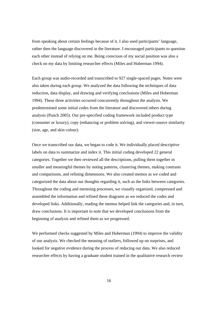from speaking about certain feelings because of it. I also used participants' language, rather then the language discovered in the literature. I encouraged participants to question each other instead of relying on me. Being conscious of my social position was also a check on my data by limiting researcher effects (Miles and Huberman 1994).

Each group was audio-recorded and transcribed to 927 single-spaced pages. Notes were also taken during each group. We analyzed the data following the techniques of data reduction, data display, and drawing and verifying conclusions (Miles and Huberman 1994). These three activities occurred concurrently throughout the analysis. We predetermined some initial codes from the literature and discovered others during analysis (Punch 2005). Our pre-specified coding framework included product type (consumer or luxury), copy (enhancing or problem solving), and viewer-source similarity (size, age, and skin colour).

Once we transcribed our data, we began to code it. We individually placed descriptive labels on data to summarize and index it. This initial coding developed 22 general categories. Together we then reviewed all the descriptions, pulling them together in smaller and meaningful themes by noting patterns, clustering themes, making contrasts and comparisons, and refining dimensions. We also created memos as we coded and categorized the data about our thoughts regarding it, such as the links between categories. Throughout the coding and memoing processes, we visually organized, compressed and assembled the information and refined these diagrams as we reduced the codes and developed links. Additionally, reading the memos helped link the categories and, in turn, draw conclusions. It is important to note that we developed conclusions from the beginning of analysis and refined them as we progressed.

We performed checks suggested by Miles and Huberman (1994) to improve the validity of our analysis. We checked the meaning of outliers, followed up on surprises, and looked for negative evidence during the process of reducing our data. We also reduced researcher effects by having a graduate student trained in the qualitative research review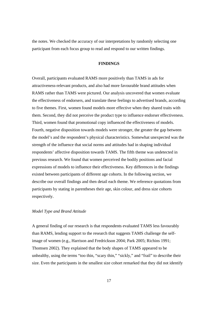the notes. We checked the accuracy of our interpretations by randomly selecting one participant from each focus group to read and respond to our written findings.

# **FINDINGS**

Overall, participants evaluated RAMS more positively than TAMS in ads for attractiveness-relevant products, and also had more favourable brand attitudes when RAMS rather than TAMS were pictured. Our analysis uncovered that women evaluate the effectiveness of endorsers, and translate these feelings to advertised brands, according to five themes. First, women found models more effective when they shared traits with them. Second, they did not perceive the product type to influence endorser effectiveness. Third, women found that promotional copy influenced the effectiveness of models. Fourth, negative disposition towards models were stronger, the greater the gap between the model's and the respondent's physical characteristics. Somewhat unexpected was the strength of the influence that social norms and attitudes had in shaping individual respondents' affective disposition towards TAMS. The fifth theme was undetected in previous research. We found that women perceived the bodily positions and facial expressions of models to influence their effectiveness. Key differences in the findings existed between participants of different age cohorts. In the following section, we describe our overall findings and then detail each theme. We reference quotations from participants by stating in parentheses their age, skin colour, and dress size cohorts respectively.

# *Model Type and Brand Attitude*

A general finding of our research is that respondents evaluated TAMS less favourably than RAMS, lending support to the research that suggests TAMS challenge the selfimage of women (e.g., Harrison and Fredrickson 2004; Park 2005; Richins 1991; Thomsen 2002). They explained that the body shapes of TAMS appeared to be unhealthy, using the terms "too thin, "scary thin," "sickly," and "frail" to describe their size. Even the participants in the smallest size cohort remarked that they did not identify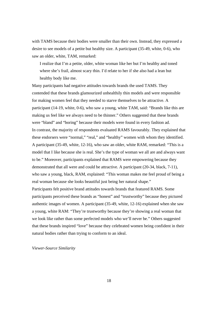with TAMS because their bodies were smaller than their own. Instead, they expressed a desire to see models of a petite but healthy size. A participant (35-49, white, 0-6), who saw an older, white, TAM, remarked:

I realize that I'm a petite, older, white woman like her but I'm healthy and toned where she's frail, almost scary thin. I'd relate to her if she also had a lean but healthy body like me.

Many participants had negative attitudes towards brands the used TAMS. They contended that these brands glamourized unhealthily thin models and were responsible for making women feel that they needed to starve themselves to be attractive. A participant (14-19, white, 0-6), who saw a young, white TAM, said: "Brands like this are making us feel like we always need to be thinner." Others suggested that these brands were "bland" and "boring" because their models were found in every fashion ad. In contrast, the majority of respondents evaluated RAMS favourably. They explained that these endorsers were "normal," "real," and "healthy" women with whom they identified. A participant (35-49, white, 12-16), who saw an older, white RAM, remarked: "This is a model that I like because she is real. She's the type of woman we all are and always want to be." Moreover, participants explained that RAMS were empowering because they demonstrated that all were and could be attractive. A participant (20-34, black, 7-11), who saw a young, black, RAM, explained: "This woman makes me feel proud of being a real woman because she looks beautiful just being her natural shape."

Participants felt positive brand attitudes towards brands that featured RAMS. Some participants perceived these brands as "honest" and "trustworthy" because they pictured authentic images of women. A participant (35-49, white, 12-16) explained when she saw a young, white RAM: "They're trustworthy because they're showing a real woman that we look like rather than some perfected models who we'll never be." Others suggested that these brands inspired "love" because they celebrated women being confident in their natural bodies rather than trying to conform to an ideal.

*Viewer-Source Similarity*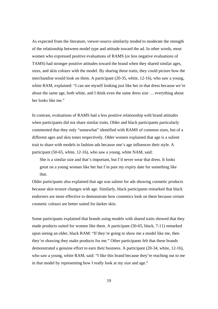As expected from the literature, viewer-source similarity tended to moderate the strength of the relationship between model type and attitude toward the ad. In other words, most women who expressed positive evaluations of RAMS (or less negative evaluations of TAMS) had stronger positive attitudes toward the brand when they shared similar ages, sizes, and skin colours with the model. By sharing these traits, they could picture how the merchandise would look on them. A participant (20-35, white, 12-16), who saw a young, white RAM, explained: "I can see myself looking just like her in that dress because we're about the same age, both white, and I think even the same dress size … everything about her looks like me."

In contrast, evaluations of RAMS had a less positive relationship with brand attitudes when participants did not share similar traits. Older and black participants particularly commented that they only "somewhat" identified with RAMS of common sizes, but of a different ages and skin tones respectively. Older women explained that age is a salient trait to share with models in fashion ads because one's age influences their style. A participant (50-65, white, 12-16), who saw a young, white NAM, said:

She is a similar size and that's important, but I'd never wear that dress. It looks great on a young woman like her but I'm past my expiry date for something like that.

Older participants also explained that age was salient for ads showing cosmetic products because skin texture changes with age. Similarly, black participants remarked that black endorsers are more effective to demonstrate how cosmetics look on them because certain cosmetic colours are better suited for darker skin.

Some participants explained that brands using models with shared traits showed that they made products suited for women like them. A participant (50-65, black, 7-11) remarked upon seeing an older, black RAM: "If they're going to show me a model like me, then they're showing they make products for me." Other participants felt that these brands demonstrated a genuine effort to earn their business. A participant (20-34, white, 12-16), who saw a young, white RAM, said: "I like this brand because they're reaching out to me in that model by representing how I really look at my size and age."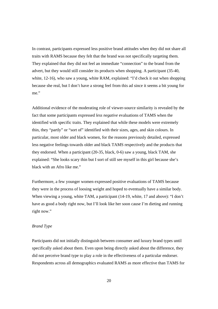In contrast, participants expressed less positive brand attitudes when they did not share all traits with RAMS because they felt that the brand was not specifically targeting them. They explained that they did not feel an immediate "connection" to the brand from the advert, but they would still consider its products when shopping. A participant (35-40, white, 12-16), who saw a young, white RAM, explained: "I'd check it out when shopping because she real, but I don't have a strong feel from this ad since it seems a bit young for me."

Additional evidence of the moderating role of viewer-source similarity is revealed by the fact that some participants expressed *less negative* evaluations of TAMS when the identified with specific traits. They explained that while these models were extremely thin, they "partly" or "sort of" identified with their sizes, ages, and skin colours. In particular, most older and black women, for the reasons previously detailed, expressed less negative feelings towards older and black TAMS respectively and the products that they endorsed. When a participant (20-35, black, 0-6) saw a young, black TAM, she explained: "She looks scary thin but I sort of still see myself in this girl because she's black with an Afro like me."

Furthermore, a few younger women expressed positive evaluations of TAMS because they were in the process of loosing weight and hoped to eventually have a similar body. When viewing a young, white TAM, a participant (14-19, white, 17 and above): "I don't have as good a body right now, but I'll look like her soon cause I'm dieting and running right now."

# *Brand Type*

Participants did not initially distinguish between consumer and luxury brand types until specifically asked about them. Even upon being directly asked about the difference, they did not perceive brand type to play a role in the effectiveness of a particular endorser. Respondents across all demographics evaluated RAMS as more effective than TAMS for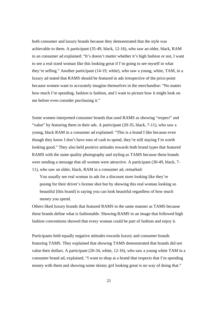both consumer and luxury brands because they demonstrated that the style was achievable to them. A participant (35-49, black, 12-16), who saw an older, black, RAM in an consumer ad explained: "It's doesn't matter whether it's high fashion or not, I want to see a real sized woman like this looking great if I'm going to see myself in what they're selling." Another participant (14-19, white), who saw a young, white, TAM, in a luxury ad stated that RAMS should be featured in ads irrespective of the price-point because women want to accurately imagine themselves in the merchandise: "No matter how much I'm spending, fashion is fashion, and I want to picture how it might look on me before even consider purchasing it."

Some women interpreted consumer brands that used RAMS as showing "respect" and "value" by featuring them in their ads. A participant (20-35, black, 7-11), who saw a young, black RAM in a consumer ad explained: "This is a brand I like because even though they know I don't have tons of cash to spend, they're still staying I'm worth looking good." They also held positive attitudes towards both brand types that featured RAMS with the same quality photography and styling as TAMS because these brands were sending a message that all women were attractive. A participant (30-49, black, 7- 11), who saw an older, black, RAM in a consumer ad, remarked:

You usually see real woman in ads for a discount store looking like they're posing for their driver's license shot but by showing this real woman looking so beautiful [this brand] is saying you can look beautiful regardless of how much money you spend.

Others liked luxury brands that featured RAMS in the same manner as TAMS because these brands define what is fashionable. Showing RAMS in an image that followed high fashion conventions showed that every woman could be part of fashion and enjoy it.

Participants held equally negative attitudes towards luxury and consumer brands featuring TAMS. They explained that showing TAMS demonstrated that brands did not value their dollars. A participant (20-34, white, 12-16), who saw a young white TAM in a consumer brand ad, explained, "I want to shop at a brand that respects that I'm spending money with them and showing some skinny girl looking great is no way of doing that."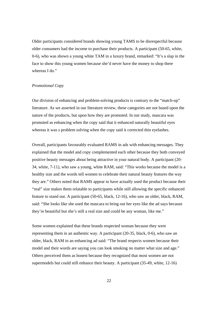Older participants considered brands showing young TAMS to be disrespectful because older consumers had the income to purchase their products. A participant (50-65, white, 0-6), who was shown a young white TAM in a luxury brand, remarked: "It's a slap in the face to show this young women because she'd never have the money to shop there whereas I do."

## *Promotional Copy*

Our division of enhancing and problem-solving products is contrary to the "match-up" literature. As we asserted in our literature review, these categories are not based upon the nature of the products, but upon how they are promoted. In our study, mascara was promoted as enhancing when the copy said that it enhanced naturally beautiful eyes whereas it was s problem solving when the copy said it corrected thin eyelashes.

Overall, participants favourably evaluated RAMS in ads with enhancing messages. They explained that the model and copy complemented each other because they both conveyed positive beauty messages about being attractive in your natural body. A participant (20- 34, white, 7-11), who saw a young, white RAM, said: "This works because the model is a healthy size and the words tell women to celebrate their natural beauty features the way they are." Others noted that RAMS appear to have actually used the product because their "real" size makes them relatable to participants while still allowing the specific enhanced feature to stand out. A participant (50-65, black, 12-16), who saw an older, black, RAM, said: "She looks like she used the mascara to bring out her eyes like the ad says because they're beautiful but she's still a real size and could be any woman, like me."

Some women explained that these brands respected woman because they were representing them in an authentic way. A participant (20-35, black, 0-6), who saw an older, black, RAM in an enhancing ad said: "The brand respects women because their model and their words are saying you can look smoking no matter what size and age." Others perceived them as honest because they recognized that most women are not supermodels but could still enhance their beauty. A participant (35-49, white, 12-16)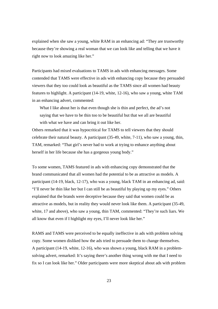explained when she saw a young, white RAM in an enhancing ad: "They are trustworthy because they're showing a real woman that we can look like and telling that we have it right now to look amazing like her."

Participants had mixed evaluations to TAMS in ads with enhancing messages. Some contended that TAMS were effective in ads with enhancing copy because they persuaded viewers that they too could look as beautiful as the TAMS since all women had beauty features to highlight. A participant (14-19, white, 12-16), who saw a young, white TAM in an enhancing advert, commented:

What I like about her is that even though she is thin and perfect, the ad's not saying that we have to be thin too to be beautiful but that we all are beautiful with what we have and can bring it out like her.

Others remarked that it was hypocritical for TAMS to tell viewers that they should celebrate their natural beauty. A participant (35-49, white, 7-11), who saw a young, thin, TAM, remarked: "That girl's never had to work at trying to enhance anything about herself in her life because she has a gorgeous young body."

To some women, TAMS featured in ads with enhancing copy demonstrated that the brand communicated that all women had the potential to be as attractive as models. A participant (14-19, black, 12-17), who was a young, black TAM in an enhancing ad, said: "I'll never be thin like her but I can still be as beautiful by playing up my eyes." Others explained that the brands were deceptive because they said that women could be as attractive as models, but in reality they would never look like them. A participant (35-49, white, 17 and above), who saw a young, thin TAM, commented: "They're such liars. We all know that even if I highlight my eyes, I'll never look like her."

RAMS and TAMS were perceived to be equally ineffective in ads with problem solving copy. Some women disliked how the ads tried to persuade them to change themselves. A participant (14-19, white, 12-16), who was shown a young, black RAM in a problemsolving advert, remarked: It's saying there's another thing wrong with me that I need to fix so I can look like her." Older participants were more skeptical about ads with problem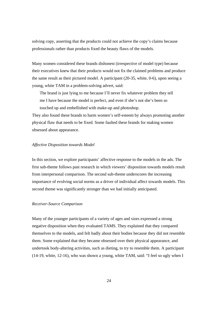solving copy, asserting that the products could not achieve the copy's claims because professionals rather than products fixed the beauty flaws of the models.

Many women considered these brands dishonest (irrespective of model type) because their executives knew that their products would not fix the claimed problems and produce the same result as their pictured model. A participant (20-35, white, 0-6), upon seeing a young, white TAM in a problem-solving advert, said:

The brand is just lying to me because I'll never fix whatever problem they tell me I have because the model is perfect, and even if she's not she's been so touched up and embellished with make-up and photoshop.

They also found these brands to harm women's self-esteem by always promoting another physical flaw that needs to be fixed. Some faulted these brands for making women obsessed about appearance.

### *Affective Disposition towards Model*

In this section, we explore participants' affective response to the models in the ads. The first sub-theme follows past research in which viewers' disposition towards models result from interpersonal comparison. The second sub-theme underscores the increasing importance of evolving social norms as a driver of individual affect towards models. This second theme was significantly stronger than we had initially anticipated.

### *Receiver-Source Comparison*

Many of the younger participants of a variety of ages and sizes expressed a strong negative disposition when they evaluated TAMS. They explained that they compared themselves to the models, and felt badly about their bodies because they did not resemble them. Some explained that they became obsessed over their physical appearance, and undertook body-altering activities, such as dieting, to try to resemble them. A participant (14-19, white, 12-16), who was shown a young, white TAM, said: "I feel so ugly when I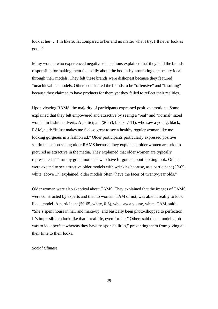look at her ... I'm like so fat compared to her and no matter what I try, I'll never look as good."

Many women who experienced negative dispositions explained that they held the brands responsible for making them feel badly about the bodies by promoting one beauty ideal through their models. They felt these brands were dishonest because they featured "unachievable" models. Others considered the brands to be "offensive" and "insulting" because they claimed to have products for them yet they failed to reflect their realities.

Upon viewing RAMS, the majority of participants expressed positive emotions. Some explained that they felt empowered and attractive by seeing a "real" and "normal" sized woman in fashion adverts. A participant (20-53, black, 7-11), who saw a young, black, RAM, said: "It just makes me feel so great to see a healthy regular woman like me looking gorgeous in a fashion ad." Older participants particularly expressed positive sentiments upon seeing older RAMS because, they explained, older women are seldom pictured as attractive in the media. They explained that older women are typically represented as "frumpy grandmothers" who have forgotten about looking look. Others were excited to see attractive older models with wrinkles because, as a participant (50-65, white, above 17) explained, older models often "have the faces of twenty-year olds."

Older women were also skeptical about TAMS. They explained that the images of TAMS were constructed by experts and that no woman, TAM or not, was able in reality to look like a model. A participant (50-65, white, 0-6), who saw a young, white, TAM, said: "She's spent hours in hair and make-up, and basically been photo-shopped to perfection. It's impossible to look like that it real life, even for her." Others said that a model's job was to look perfect whereas they have "responsibilities," preventing them from giving all their time to their looks.

# *Social Climate*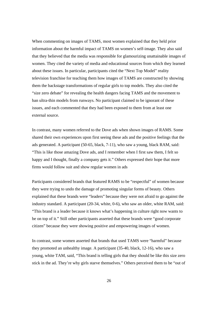When commenting on images of TAMS, most women explained that they held prior information about the harmful impact of TAMS on women's self-image. They also said that they believed that the media was responsible for glamourizing unattainable images of women. They cited the variety of media and educational sources from which they learned about these issues. In particular, participants cited the "Next Top Model" reality television franchise for teaching them how images of TAMS are constructed by showing them the backstage transformations of regular girls to top models. They also cited the "size zero debate" for revealing the health dangers facing TAMS and the movement to ban ultra-thin models from runways. No participant claimed to be ignorant of these issues, and each commented that they had been exposed to them from at least one external source.

In contrast, many women referred to the Dove ads when shown images of RAMS. Some shared their own experiences upon first seeing these ads and the positive feelings that the ads generated. A participant (50-65, black, 7-11), who saw a young, black RAM, said: "This is like those amazing Dove ads, and I remember when I first saw them, I felt so happy and I thought, finally a company gets it." Others expressed their hope that more firms would follow suit and show regular women in ads

Participants considered brands that featured RAMS to be "respectful" of women because they were trying to undo the damage of promoting singular forms of beauty. Others explained that these brands were "leaders" because they were not afraid to go against the industry standard. A participant (20-34, white, 0-6), who saw an older, white RAM, said: "This brand is a leader because it knows what's happening in culture right now wants to be on top of it." Still other participants asserted that these brands were "good corporate citizen" because they were showing positive and empowering images of women.

In contrast, some women asserted that brands that used TAMS were "harmful" because they promoted an unhealthy image. A participant (35-40, black, 12-16), who saw a young, white TAM, said, "This brand is telling girls that they should be like this size zero stick in the ad. They're why girls starve themselves." Others perceived them to be "out of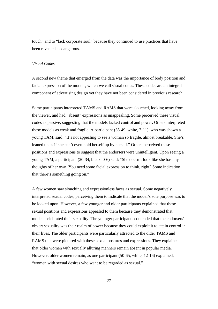touch" and to "lack corporate soul" because they continued to use practices that have been revealed as dangerous.

# *Visual Codes*

A second new theme that emerged from the data was the importance of body position and facial expression of the models, which we call visual codes. These codes are an integral component of advertising design yet they have not been considered in previous research.

Some participants interpreted TAMS and RAMS that were slouched, looking away from the viewer, and had "absent" expressions as unappealing. Some perceived these visual codes as passive, suggesting that the models lacked control and power. Others interpreted these models as weak and fragile. A participant (35-49, white, 7-11), who was shown a young TAM, said: "It's not appealing to see a woman so fragile, almost breakable. She's leaned up as if she can't even hold herself up by herself." Others perceived these positions and expressions to suggest that the endorsers were unintelligent. Upon seeing a young TAM, a participant (20-34, black, 0-6) said: "She doesn't look like she has any thoughts of her own. You need some facial expression to think, right? Some indication that there's something going on."

A few women saw slouching and expressionless faces as sexual. Some negatively interpreted sexual codes, perceiving them to indicate that the model's sole purpose was to be looked upon. However, a few younger and older participants explained that these sexual positions and expressions appealed to them because they demonstrated that models celebrated their sexuality. The younger participants contended that the endorsers' obvert sexuality was their realm of power because they could exploit it to attain control in their lives. The older participants were particularly attracted to the older TAMS and RAMS that were pictured with these sexual postures and expressions. They explained that older women with sexually alluring manners remain absent in popular media. However, older women remain, as one participant (50-65, white, 12-16) explained, "women with sexual desires who want to be regarded as sexual."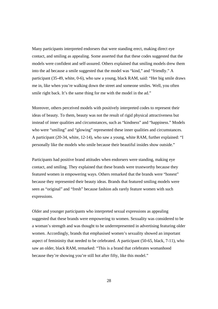Many participants interpreted endorsers that were standing erect, making direct eye contact, and smiling as appealing. Some asserted that that these codes suggested that the models were confident and self-assured. Others explained that smiling models drew them into the ad because a smile suggested that the model was "kind," and "friendly." A participant (35-49, white, 0-6), who saw a young, black RAM, said: "Her big smile draws me in, like when you're walking down the street and someone smiles. Well, you often smile right back. It's the same thing for me with the model in the ad."

Moreover, others perceived models with positively interpreted codes to represent their ideas of beauty. To them, beauty was not the result of rigid physical attractiveness but instead of inner qualities and circumstances, such as "kindness" and "happiness." Models who were "smiling" and "glowing" represented these inner qualities and circumstances. A participant (20-34, white, 12-14), who saw a young, white RAM, further explained: "I personally like the models who smile because their beautiful insides show outside."

Participants had positive brand attitudes when endorsers were standing, making eye contact, and smiling. They explained that these brands were trustworthy because they featured women in empowering ways. Others remarked that the brands were "honest" because they represented their beauty ideas. Brands that featured smiling models were seen as "original" and "fresh" because fashion ads rarely feature women with such expressions.

Older and younger participants who interpreted sexual expressions as appealing suggested that these brands were empowering to women. Sexuality was considered to be a woman's strength and was thought to be underrepresented in advertising featuring older women. Accordingly, brands that emphasised women's sexuality showed an important aspect of femininity that needed to be celebrated. A participant (50-65, black, 7-11), who saw an older, black RAM, remarked: "This is a brand that celebrates womanhood because they're showing you're still hot after fifty, like this model."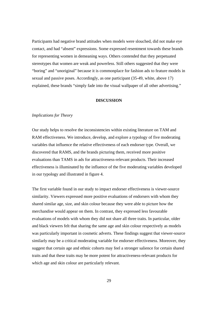Participants had negative brand attitudes when models were slouched, did not make eye contact, and had "absent" expressions. Some expressed resentment towards these brands for representing women in demeaning ways. Others contended that they perpetuated stereotypes that women are weak and powerless. Still others suggested that they were "boring" and "unoriginal" because it is commonplace for fashion ads to feature models in sexual and passive poses. Accordingly, as one participant (35-49, white, above 17) explained, these brands "simply fade into the visual wallpaper of all other advertising."

### **DISCUSSION**

# *Implications for Theory*

Our study helps to resolve the inconsistencies within existing literature on TAM and RAM effectiveness. We introduce, develop, and explore a typology of five moderating variables that influence the relative effectiveness of each endorser type. Overall, we discovered that RAMS, and the brands picturing them, received more positive evaluations than TAMS in ads for attractiveness-relevant products. Their increased effectiveness is illuminated by the influence of the five moderating variables developed in our typology and illustrated in figure 4.

The first variable found in our study to impact endorser effectiveness is viewer-source similarity. Viewers expressed more positive evaluations of endorsers with whom they shared similar age, size, and skin colour because they were able to picture how the merchandise would appear on them. In contrast, they expressed less favourable evaluations of models with whom they did not share all three traits. In particular, older and black viewers felt that sharing the same age and skin colour respectively as models was particularly important in cosmetic adverts. These findings suggest that viewer-source similarly may be a critical moderating variable for endorser effectiveness. Moreover, they suggest that certain age and ethnic cohorts may feel a stronger salience for certain shared traits and that these traits may be more potent for attractiveness-relevant products for which age and skin colour are particularly relevant.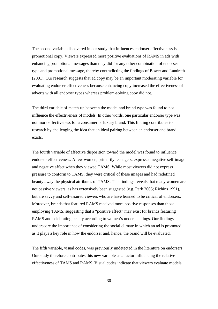The second variable discovered in our study that influences endorser effectiveness is promotional copy. Viewers expressed more positive evaluations of RAMS in ads with enhancing promotional messages than they did for any other combination of endorser type and promotional message, thereby contradicting the findings of Bower and Landreth (2001). Our research suggests that ad copy may be an important moderating variable for evaluating endorser effectiveness because enhancing copy increased the effectiveness of adverts with all endorser types whereas problem-solving copy did not.

The third variable of match-up between the model and brand type was found to not influence the effectiveness of models. In other words, one particular endorser type was not more effectiveness for a consumer or luxury brand. This finding contributes to research by challenging the idea that an ideal pairing between an endorser and brand exists.

The fourth variable of affective disposition toward the model was found to influence endorser effectiveness. A few women, primarily teenagers, expressed negative self-image and negative affect when they viewed TAMS. While most viewers did not express pressure to conform to TAMS, they were critical of these images and had redefined beauty away the physical attributes of TAMS. This findings reveals that many women are not passive viewers, as has extensively been suggested (e.g. Park 2005; Richins 1991), but are savvy and self-assured viewers who are have learned to be critical of endorsers. Moreover, brands that featured RAMS received more positive responses than those employing TAMS, suggesting that a "positive affect" may exist for brands featuring RAMS and celebrating beauty according to women's understandings. Our findings underscore the importance of considering the social climate in which an ad is promoted as it plays a key role in how the endorser and, hence, the brand will be evaluated.

The fifth variable, visual codes, was previously undetected in the literature on endorsers. Our study therefore contributes this new variable as a factor influencing the relative effectiveness of TAMS and RAMS. Visual codes indicate that viewers evaluate models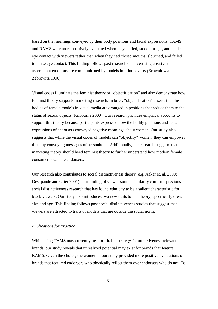based on the meanings conveyed by their body positions and facial expressions. TAMS and RAMS were more positively evaluated when they smiled, stood upright, and made eye contact with viewers rather than when they had closed mouths, slouched, and failed to make eye contact. This finding follows past research on advertising creative that asserts that emotions are communicated by models in print adverts (Brownlow and Zebrowitz 1990).

Visual codes illuminate the feminist theory of "objectification" and also demonstrate how feminist theory supports marketing research. In brief, "objectification" asserts that the bodies of female models in visual media are arranged in positions that reduce them to the status of sexual objects (Kilbourne 2000). Our research provides empirical accounts to support this theory because participants expressed how the bodily positions and facial expressions of endorsers conveyed negative meanings about women. Our study also suggests that while the visual codes of models can "objectify" women, they can empower them by conveying messages of personhood. Additionally, our research suggests that marketing theory should heed feminist theory to further understand how modern female consumers evaluate endorsers.

Our research also contributes to social distinctiveness theory (e.g. Aaker et. al. 2000; Deshpande and Grier 2001). Our finding of viewer-source similarity confirms previous social distinctiveness research that has found ethnicity to be a salient characteristic for black viewers. Our study also introduces two new traits to this theory, specifically dress size and age. This finding follows past social distinctiveness studies that suggest that viewers are attracted to traits of models that are outside the social norm.

## *Implications for Practice*

While using TAMS may currently be a profitable strategy for attractiveness-relevant brands, our study reveals that unrealized potential may exist for brands that feature RAMS. Given the choice, the women in our study provided more positive evaluations of brands that featured endorsers who physically reflect them over endorsers who do not. To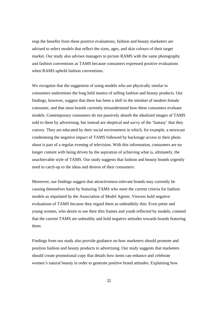reap the benefits from these positive evaluations, fashion and beauty marketers are advised to select models that reflect the sizes, ages, and skin colours of their target market. Our study also advises managers to picture RAMS with the same photography and fashion conventions as TAMS because consumers expressed positive evaluations when RAMS upheld fashion conventions.

We recognize that the suggestion of using models who are physically similar to consumers undermines the long held mantra of selling fashion and beauty products. Our findings, however, suggest that there has been a shift in the mindset of modern female consumer, and that most brands currently misunderstand how these consumers evaluate models. Contemporary consumers do not passively absorb the idealized images of TAMS sold to them by advertising, but instead are skeptical and savvy of the 'fantasy' that they convey. They are educated by their social environment in which, for example, a newscast condemning the negative impact of TAMS followed by backstage access to their photo shoot is part of a regular evening of television. With this information, consumers are no longer content with being driven by the aspiration of achieving what is, ultimately, the unachievable style of TAMS. Our study suggests that fashion and beauty brands urgently need to catch-up to the ideas and desires of their consumers.

Moreover, our findings suggest that attractiveness-relevant brands may currently be causing themselves harm by featuring TAMS who meet the current criteria for fashion models as stipulated by the Association of Model Agents. Viewers hold negative evaluations of TAMS because they regard them as unhealthily thin. Even petite and young women, who desire to see their thin frames and youth reflected by models, contend that the current TAMS are unhealthy and hold negative attitudes towards brands featuring them.

Findings from our study also provide guidance on how marketers should promote and position fashion and beauty products in advertising. Our study suggests that marketers should create promotional copy that details how items can enhance and celebrate women's natural beauty in order to generate positive brand attitudes. Explaining how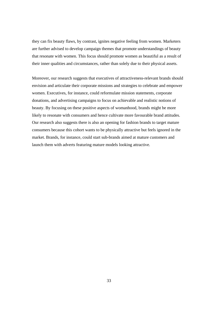they can fix beauty flaws, by contrast, ignites negative feeling from women. Marketers are further advised to develop campaign themes that promote understandings of beauty that resonate with women. This focus should promote women as beautiful as a result of their inner qualities and circumstances, rather than solely due to their physical assets.

Moreover, our research suggests that executives of attractiveness-relevant brands should envision and articulate their corporate missions and strategies to celebrate and empower women. Executives, for instance, could reformulate mission statements, corporate donations, and advertising campaigns to focus on achievable and realistic notions of beauty. By focusing on these positive aspects of womanhood, brands might be more likely to resonate with consumers and hence cultivate more favourable brand attitudes. Our research also suggests there is also an opening for fashion brands to target mature consumers because this cohort wants to be physically attractive but feels ignored in the market. Brands, for instance, could start sub-brands aimed at mature customers and launch them with adverts featuring mature models looking attractive.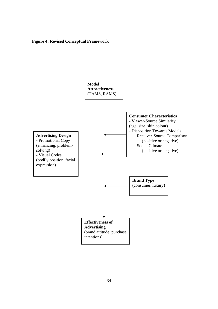**Figure 4: Revised Conceptual Framework** 

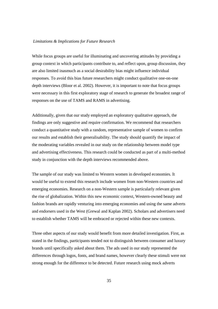### *Limitations & Implications for Future Research*

While focus groups are useful for illuminating and uncovering attitudes by providing a group context in which participants contribute to, and reflect upon, group discussion, they are also limited inasmuch as a social desirability bias might influence individual responses. To avoid this bias future researchers might conduct qualitative one-on-one depth interviews (Bloor et al. 2002). However, it is important to note that focus groups were necessary in this first exploratory stage of research to generate the broadest range of responses on the use of TAMS and RAMS in advertising.

Additionally, given that our study employed an exploratory qualitative approach, the findings are only suggestive and require confirmation. We recommend that researchers conduct a quantitative study with a random, representative sample of women to confirm our results and establish their generalisability. The study should quantify the impact of the moderating variables revealed in our study on the relationship between model type and advertising effectiveness. This research could be conducted as part of a multi-method study in conjunction with the depth interviews recommended above.

The sample of our study was limited to Western women in developed economies. It would be useful to extend this research include women from non-Western countries and emerging economies. Research on a non-Western sample is particularly relevant given the rise of globalization. Within this new economic context, Western-owned beauty and fashion brands are rapidly venturing into emerging economies and using the same adverts and endorsers used in the West (Grewal and Kaplan 2002). Scholars and advertisers need to establish whether TAMS will be embraced or rejected within these new contexts.

Three other aspects of our study would benefit from more detailed investigation. First, as stated in the findings, participants tended not to distinguish between consumer and luxury brands until specifically asked about them. The ads used in our study represented the differences through logos, fonts, and brand names, however clearly these stimuli were not strong enough for the difference to be detected. Future research using mock adverts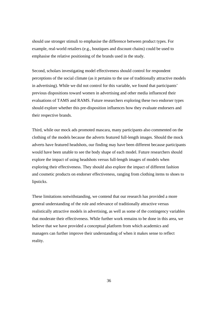should use stronger stimuli to emphasise the difference between product types. For example, real-world retailers (e.g., boutiques and discount chains) could be used to emphasise the relative positioning of the brands used in the study.

Second, scholars investigating model effectiveness should control for respondent perceptions of the social climate (as it pertains to the use of traditionally attractive models in advertising). While we did not control for this variable, we found that participants' previous dispositions toward women in advertising and other media influenced their evaluations of TAMS and RAMS. Future researchers exploring these two endorser types should explore whether this pre-disposition influences how they evaluate endorsers and their respective brands.

Third, while our mock ads promoted mascara, many participants also commented on the clothing of the models because the adverts featured full-length images. Should the mock adverts have featured headshots, our finding may have been different because participants would have been unable to see the body shape of each model. Future researchers should explore the impact of using headshots versus full-length images of models when exploring their effectiveness. They should also explore the impact of different fashion and cosmetic products on endorser effectiveness, ranging from clothing items to shoes to lipsticks.

These limitations notwithstanding, we contend that our research has provided a more general understanding of the role and relevance of traditionally attractive versus realistically attractive models in advertising, as well as some of the contingency variables that moderate their effectiveness. While further work remains to be done in this area, we believe that we have provided a conceptual platform from which academics and managers can further improve their understanding of when it makes sense to reflect reality.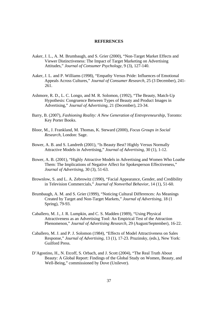### **REFERENCES**

- Aaker, J. L., A. M. Brumbaugh, and S. Grier (2000), "Non-Target Market Effects and Viewer Distinctiveness: The Impact of Target Marketing on Advertising Attitudes," *Journal of Consumer Psychology*, 9 (3), 127-140.
- Aaker, J. L. and P. Williams (1998), "Empathy Versus Pride: Influences of Emotional Appeals Across Cultures," *Journal of Consumer Research*, 25 (3 December), 241- 261.
- Ashmore, R. D., L. C. Longo, and M. R. Solomon, (1992), "The Beauty, Match-Up Hypothesis: Congruence Between Types of Beauty and Product Images in Advertising," *Journal of Advertising*, 21 (December), 23-34.
- Barry, B. (2007), *Fashioning Reality: A New Generation of Entrepreneurship*, Toronto: Key Porter Books.
- Bloor, M., J. Frankland, M. Thomas, K. Steward (2000), *Focus Groups in Social Research*, London: Sage.
- Bower, A. B. and S. Landreth (2001), "Is Beauty Best? Highly Versus Normally Attractive Models in Advertising," *Journal of Advertising*, 30 (1), 1-12.
- Bower, A. B. (2001), "Highly Attractive Models in Advertising and Women Who Loathe Them: The Implications of Negative Affect for Spokesperson Effectiveness," *Journal of Advertising*, 30 (3), 51-63.
- Brownlow, S. and L. A. Zebrowitz (1990), "Facial Appearance, Gender, and Credibility in Television Commercials," *Journal of Nonverbal Behavior*, 14 (1), 51-60.
- Brumbaugh, A. M. and S. Grier (1999), "Noticing Cultural Differences: As Meanings Created by Target and Non-Target Markets," *Journal of Advertising*, 18 (1 Spring), 79-93.
- Caballero, M. J., J. R. Lumpkin, and C. S. Madden (1989), "Using Physical Attractiveness as an Advertising Tool: An Empirical Test of the Attraction Phenomenon," *Journal of Advertising Research*, 29 (August/September), 16-22.
- Caballero, M. J. and P. J. Solomon (1984), "Effects of Model Attractiveness on Sales Response," *Journal of Advertising*, 13 (1), 17-23. Pruzinsky, (eds.), New York: Guilford Press.
- D'Agostino, H., N. Etcoff, S. Orbach, and J. Scott (2004), "The Real Truth About Beauty: A Global Report: Findings of the Global Study on Women, Beauty, and Well-Being," commissioned by Dove (Unilever).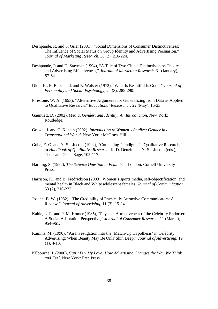- Deshpande, R. and S. Grier (2001), "Social Dimensions of Consumer Distinctiveness: The Influence of Social Status on Group Identity and Advertising Persuasion," *Journal of Marketing Research*, 38 (2), 216-224.
- Deshpande, R and D. Stayman (1994), "A Tale of Two Cities: Distinctiveness Theory and Advertising Effectiveness," *Journal of Marketing Research*, 31 (January), 57-64.
- Dion, K., E. Berscheid, and E. Walster (1972), "What Is Beautiful Is Good*," Journal of Personality and Social Psychology*, 24 (3), 285-290.
- Firestone, W. A. (1993), "Alternative Arguments for Generalizing from Data as Applied to Qualitative Research," *Educational Researcher*, 22 (May), 16-23.
- Gauntlett, D. (2002), *Media, Gender, and Identity: An Introduction*, New York: Routledge.
- Grewal, I. and C. Kaplan (2002), *Introduction to Women's Studies: Gender in a Transnational World*, New York: McGraw-Hill.
- Guba, E. G. and Y. S. Lincoln (1994), "Competing Paradigms in Qualitative Research," in *Handbook of Qualitative Research*, K. D. Denzin and Y. S. Lincoln (eds.), Thousand Oaks: Sage, 105-117.
- Harding, S. (1987), *The Science Question in Feminism*, London: Cornell University Press.
- Harrison, K., and B. Fredrickson (2003). Women's sports media, self-objectification, and mental health in Black and White adolescent females. *Journal of Communication*, 53 (2), 216-232.
- Joseph, B. W. (1982), "The Credibility of Physically Attractive Communicators: A Review," *Journal of Advertising*, 11 (3), 15-24.
- Kahle, L. R. and P. M. Homer (1985), "Physical Attractiveness of the Celebrity Endorser: A Social Adaptation Perspective," *Journal of Consumer Research*, 11 (March), 954-961.
- Kamins, M. (1990), "An Investigation into the 'Match-Up Hypothesis' in Celebrity Advertising: When Beauty May Be Only Skin Deep," *Journal of Advertising*, 19  $(1), 4-13.$
- Kilbourne, J. (2000), *Can't Buy My Love: How Advertising Changes the Way We Think and Feel*, New York: Free Press.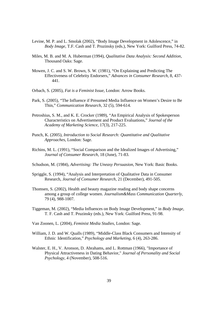- Levine, M. P. and L. Smolak (2002), "Body Image Development in Adolescence," in *Body Image*, T.F. Cash and T. Pruzinsky (eds.), New York: Guilford Press, 74-82.
- Miles, M. B. and M. A. Huberman (1994), *Qualitative Data Analysis: Second Addition*, Thousand Oaks: Sage.
- Mowen, J. C. and S. W. Brown, S. W. (1981), "On Explaining and Predicting The Effectiveness of Celebrity Endorsers," *Advances in Consumer Research*, 8, 437- 441.
- Orbach, S. (2005), *Fat is a Feminist Issue*, London: Arrow Books.
- Park, S. (2005), "The Influence if Presumed Media Influence on Women's Desire to Be Thin," *Communication Research*, 32 (5), 594-614.
- Petroshius, S. M., and K. E. Crocker (1989), "An Empirical Analysis of Spokesperson Characteristics on Advertisement and Product Evaluations," *Journal of the Academy of Marketing Science*, 17(3), 217-225.
- Punch, K. (2005), *Introduction to Social Research: Quantitative and Qualitative Approaches*, London: Sage.
- Richins, M. L. (1991), "Social Comparison and the Idealized Images of Advertising," *Journal of Consumer Research*, 18 (June), 71-83.
- Schudson, M. (1984), *Advertising: The Uneasy Persuasion*, New York: Basic Books.
- Spriggle, S. (1994), "Analysis and Interpretation of Qualitative Data in Consumer Research, *Journal of Consumer Research*, 21 (December), 491-505.
- Thomsen, S. (2002), Health and beauty magazine reading and body shape concerns among a group of college women. *Journalism&Mass Communication Quarterly*, 79 (4), 988-1007.
- Tiggeman, M. (2002), "Media Influences on Body Image Development," in *Body Image*, T. F. Cash and T. Pruzinsky (eds.), New York: Guilford Press, 91-98.
- Van Zoonen, L. (2004), *Feminist Media Studies*, London: Sage.
- William, J. D. and W. Qualls (1989), "Middle-Class Black Consumers and Intensity of Ethnic Identification," *Psychology and Marketing*, 6 (4), 263-286.
- Walster, E. H., V. Aronson, D. Abrahams, and L. Rottman (1966), "Importance of Physical Attractiveness in Dating Behavior," *Journal of Personality and Social Psychology*, 4 (November), 508-516.